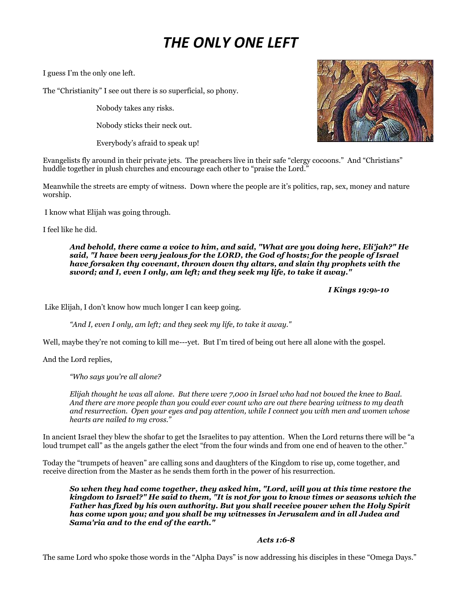## *THE ONLY ONE LEFT*

I guess I'm the only one left.

The "Christianity" I see out there is so superficial, so phony.

Nobody takes any risks.

Nobody sticks their neck out.

Everybody's afraid to speak up!

Evangelists fly around in their private jets. The preachers live in their safe "clergy cocoons." And "Christians" huddle together in plush churches and encourage each other to "praise the Lord."

Meanwhile the streets are empty of witness. Down where the people are it's politics, rap, sex, money and nature worship.

I know what Elijah was going through.

I feel like he did.

*And behold, there came a voice to him, and said, "What are you doing here, Eli'jah?" He said, "I have been very jealous for the LORD, the God of hosts; for the people of Israel have forsaken thy covenant, thrown down thy altars, and slain thy prophets with the sword; and I, even I only, am left; and they seek my life, to take it away."*

 *I Kings 19:9b-10*

Like Elijah, I don't know how much longer I can keep going.

*"And I, even I only, am left; and they seek my life, to take it away."*

Well, maybe they're not coming to kill me---yet. But I'm tired of being out here all alone with the gospel.

And the Lord replies,

*"Who says you're all alone?* 

*Elijah thought he was all alone. But there were 7,000 in Israel who had not bowed the knee to Baal. And there are more people than you could ever count who are out there bearing witness to my death*  and resurrection. Open your eyes and pay attention, while I connect you with men and women whose *hearts are nailed to my cross."*

In ancient Israel they blew the shofar to get the Israelites to pay attention. When the Lord returns there will be "a loud trumpet call" as the angels gather the elect "from the four winds and from one end of heaven to the other."

Today the "trumpets of heaven" are calling sons and daughters of the Kingdom to rise up, come together, and receive direction from the Master as he sends them forth in the power of his resurrection.

*So when they had come together, they asked him, "Lord, will you at this time restore the kingdom to Israel?" He said to them, "It is not for you to know times or seasons which the Father has fixed by his own authority. But you shall receive power when the Holy Spirit has come upon you; and you shall be my witnesses in Jerusalem and in all Judea and Sama'ria and to the end of the earth."*

## *Acts 1:6-8*

The same Lord who spoke those words in the "Alpha Days" is now addressing his disciples in these "Omega Days."